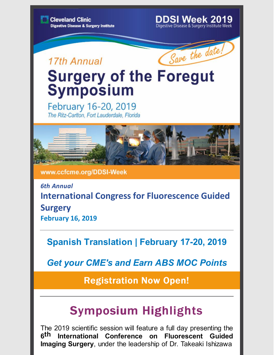### **DDSI Week 2019**

Digestive Disease & Surgery Institute Week

## 17th Annual



# **Surgery of the Foregut Symposium**

February 16-20, 2019 The Ritz-Carlton, Fort Lauderdale, Florida



www.ccfcme.org/DDSI-Week

*6th Annual* **International Congress for Fluorescence Guided Surgery February 16, 2019**

**Spanish Translation | February 17-20, 2019**

*Get your CME's and Earn ABS MOC Points*

[Registration](http://www.ccfcme.org/DDSI-Week) Now Open!

## Symposium Highlights

The 2019 scientific session will feature a full day presenting the **6th International Conference on Fluorescent Guided Imaging Surgery**, under the leadership of Dr. Takeaki Ishizawa